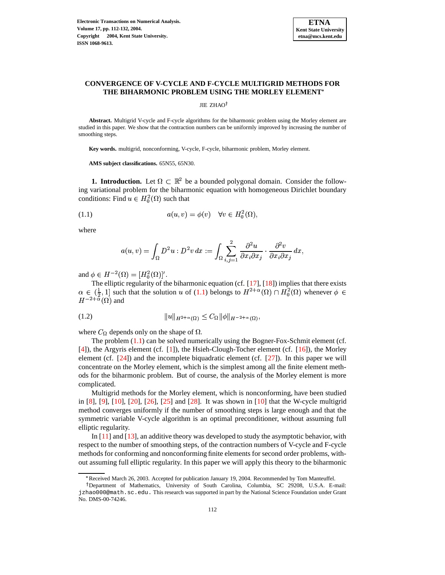

# **CONVERGENCE OF V-CYCLE AND F-CYCLE MULTIGRID METHODS FOR THE BIHARMONIC PROBLEM USING THE MORLEY ELEMENT**

JIE ZHAO<sup>†</sup>

**Abstract.** Multigrid V-cycle and F-cycle algorithms for the biharmonic problem using the Morley element are studied in this paper. We show that the contraction numbers can be uniformly improved by increasing the number of smoothing steps.

**Key words.** multigrid, nonconforming, V-cycle, F-cycle, biharmonic problem, Morley element.

<span id="page-0-0"></span>**AMS subject classifications.** 65N55, 65N30.

**1. Introduction.** Let  $\Omega \subset \mathbb{R}^2$  be a bounded polygonal domain. Consider the following variational problem for the biharmonic equation with homogeneous Dirichlet boundary conditions: Find  $u \in H_0^2(\Omega)$  such that

$$
(1.1) \t a(u,v) = \phi(v) \quad \forall v \in H_0^2(\Omega),
$$

where

$$
a(u,v)=\int_{\Omega}D^2u:D^2v\,dx:=\int_{\Omega}\sum_{i,j=1}^2\frac{\partial^2u}{\partial x_i\partial x_j}\cdot\frac{\partial^2v}{\partial x_i\partial x_j}\,dx,
$$

and  $\phi \in H^{-2}(\Omega) = [H_0^2(\Omega)]'.$ 

<span id="page-0-1"></span>The elliptic regularity of the biharmonic equation (cf. [\[17\]](#page-19-0), [\[18\]](#page-20-0)) implies that there exists  $\alpha \in (\frac{1}{2}, 1]$  such that the solution u of [\(1.1\)](#page-0-0) belongs to  $H^{2+\alpha}(\Omega) \cap H_0^2(\Omega)$  whenever  $\phi$  $H^{-2+\alpha}(\Omega)$  and

(1.2) 
$$
||u||_{H^{2+\alpha}(\Omega)} \leq C_{\Omega} ||\phi||_{H^{-2+\alpha}(\Omega)},
$$

where  $C_{\Omega}$  depends only on the shape of  $\Omega$ .

The problem [\(1.1\)](#page-0-0) can be solved numerically using the Bogner-Fox-Schmit element (cf. [\[4\]](#page-19-1)), the Argyris element (cf. [\[1\]](#page-19-2)), the Hsieh-Clough-Tocher element (cf. [\[16\]](#page-19-3)), the Morley element (cf.  $[24]$ ) and the incomplete biquadratic element (cf.  $[27]$ ). In this paper we will concentrate on the Morley element, which is the simplest among all the finite element methods for the biharmonic problem. But of course, the analysis of the Morley element is more complicated.

Multigrid methods for the Morley element, which is nonconforming, have been studied in [\[8\]](#page-19-4), [\[9\]](#page-19-5), [\[10\]](#page-19-6), [\[20\]](#page-20-3), [\[26\]](#page-20-4), [\[25\]](#page-20-5) and [\[28\]](#page-20-6). It was shown in [\[10\]](#page-19-6) that the W-cycle multigrid method converges uniformly if the number of smoothing steps is large enough and that the symmetric variable V-cycle algorithm is an optimal preconditioner, without assuming full elliptic regularity.

In [\[11\]](#page-19-7) and [\[13\]](#page-19-8), an additive theory was developed to study the asymptotic behavior, with respect to the number of smoothing steps, of the contraction numbers of V-cycle and F-cycle methods for conforming and nonconforming finite elements for second order problems, without assuming full elliptic regularity. In this paper we will apply this theory to the biharmonic

<sup>g</sup> Received March 26, 2003. Accepted for publication January 19, 2004. Recommended by Tom Manteuffel.

Department of Mathematics, University of South Carolina, Columbia, SC 29208, U.S.A. E-mail: jzhao000@math.sc.edu. This research was supported in part by the National Science Foundation under Grant No. DMS-00-74246.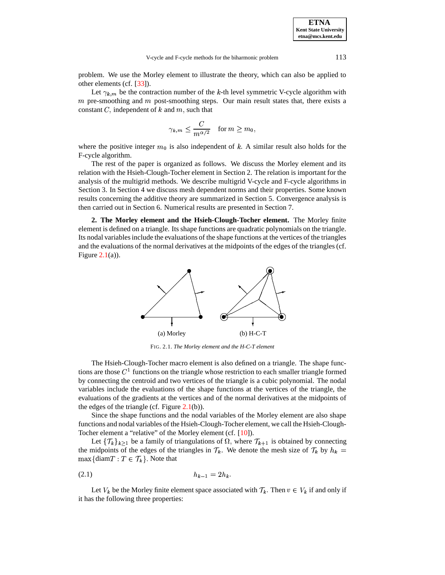problem. We use the Morley element to illustrate the theory, which can also be applied to other elements (cf. [\[33\]](#page-20-7)).

Let  $\gamma_{k,m}$  be the contraction number of the k-th level symmetric V-cycle algorithm with  $m$  pre-smoothing and  $m$  post-smoothing steps. Our main result states that, there exists a m pre-smoothing and m post-smoothing steps. Our main constant  $C$ , independent of  $k$  and  $m$ , such that

$$
\gamma_{k,m}\leq \frac{C}{m^{\alpha/2}}\quad \text{for }m\geq m_0,
$$

where the positive integer  $m_0$  is also independent of k. A similar result also holds for the F-cycle algorithm.

The rest of the paper is organized as follows. We discuss the Morley element and its relation with the Hsieh-Clough-Tocher element in Section 2. The relation is important for the analysis of the multigrid methods. We describe multigrid V-cycle and F-cycle algorithms in Section 3. In Section 4 we discuss mesh dependent norms and their properties. Some known results concerning the additive theory are summarized in Section 5. Convergence analysis is then carried out in Section 6. Numerical results are presented in Section 7.

**2. The Morley element and the Hsieh-Clough-Tocher element.** The Morley finite element is defined on a triangle. Its shape functions are quadratic polynomials on the triangle. Its nodal variablesinclude the evaluations of the shape functions at the vertices of the triangles and the evaluations of the normal derivatives at the midpoints of the edges of the triangles (cf. Figure  $2.1(a)$  $2.1(a)$ ).



FIG. 2.1. *The Morley element and the H-C-T element*

The Hsieh-Clough-Tocher macro element is also defined on a triangle. The shape func-The Hsieh-Clough-Tocher m<br>tions are those  $C<sup>1</sup>$  functions on the  $1$  functions on the triangle whose restriction to each smaller triangle formed by connecting the centroid and two vertices of the triangle is a cubic polynomial. The nodal variables include the evaluations of the shape functions at the vertices of the triangle, the evaluations of the gradients at the vertices and of the normal derivatives at the midpoints of the edges of the triangle (cf. Figure  $2.1(b)$  $2.1(b)$ ).

Since the shape functions and the nodal variables of the Morley element are also shape functions and nodal variables of the Hsieh-Clough-Tocher element, we call the Hsieh-Clough-Tocher element a "relative" of the Morley element (cf. [\[10\]](#page-19-6)).

<span id="page-1-0"></span>Let  $\{\mathcal{T}_k\}_{k\geq 1}$  be a family of triangulations of  $\Omega$ , where  $\mathcal{T}_{k+1}$  is obtained by connecting the midpoints of the edges of the triangles in  $\mathcal{T}_k$ . We denote the mesh size of  $\mathcal{T}_k$  by  $h_k =$  $\max\{\text{diam} T : T \in \mathcal{T}_k\}$ . Note that

(2.1) "# <sup>6</sup> -," eI

Let  $V_k$  be the Morley finite element space associated with  $\mathcal{T}_k$ . Then  $v \in V_k$  if and only if it has the following three properties: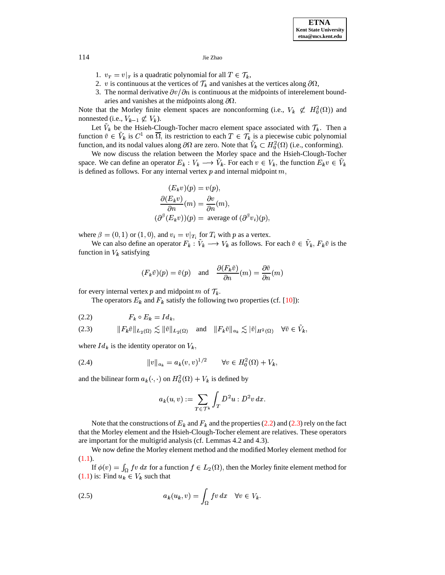- 1.  $v_T = v|_T$  is a quadratic polynomial for all  $T \in \mathcal{T}_k$ ,
- 2. v is continuous at the vertices of  $\mathcal{T}_k$  and vanishes at the vertices along  $\partial\Omega$ ,
- 3. The normal derivative  $\partial v/\partial n$  is continuous at the midpoints of interelement boundaries and vanishes at the midpoints along  $\partial\Omega$ .

Note that the Morley finite element spaces are nonconforming (i.e.,  $V_k \not\subset H_0^2(\Omega)$ ) and nonnested (i.e.,  $V_{k-1} \not\subset V_k$ ).

Let  $\tilde{V}_k$  be the Hsieh-Clough-Tocher macro element space associated with  $\mathcal{T}_k$ . Then a function  $\tilde{v} \in V_k$  is  $C^1$  on  $\overline{\Omega}$ , its restriction to each  $T \in \mathcal{T}_k$  is a piecewise cubic polynomial function, and its nodal values along  $\partial\Omega$  are zero. Note that  $V_k \subset H_0^2(\Omega)$  (i.e., conforming).

We now discuss the relation between the Morley space and the Hsieh-Clough-Tocher space. We can define an operator  $E_k : V_k \longrightarrow V_k$ . For each  $v \in V_k$ , the function  $E_k v \in V_k$ is defined as follows. For any internal vertex  $p$  and internal midpoint  $m$ ,

$$
(E_k v)(p) = v(p),
$$
  
\n
$$
\frac{\partial (E_k v)}{\partial n}(m) = \frac{\partial v}{\partial n}(m),
$$
  
\n
$$
(\partial^{\beta} (E_k v))(p) = \text{ average of } (\partial^{\beta} v_i)(p),
$$

where  $\beta = (0, 1)$  or  $(1, 0)$ , and  $v_i = v|_{T_i}$  for  $T_i$  with p as a vertex.

We can also define an operator  $F_k : V_k \longrightarrow V_k$  as follows. For each  $\tilde{v} \in V_k$ ,  $F_k \tilde{v}$  is the function in  $V_k$  satisfying

$$
(F_k \tilde{v})(p) = \tilde{v}(p)
$$
 and  $\frac{\partial (F_k \tilde{v})}{\partial n}(m) = \frac{\partial \tilde{v}}{\partial n}(m)$ 

<span id="page-2-0"></span>for every internal vertex p and midpoint m of  $\mathcal{T}_k$ .

The operators  $E_k$  and  $F_k$  satisfy the following two properties (cf. [10]):

<span id="page-2-1"></span>
$$
(2.2) \tF_k \circ E_k = Id_k,
$$

$$
(2.3) \t\t\t ||F_k\tilde{v}||_{L_2(\Omega)} \lesssim ||\tilde{v}||_{L_2(\Omega)} \t and \t ||F_k\tilde{v}||_{a_k} \lesssim |\tilde{v}|_{H^2(\Omega)} \quad \forall \tilde{v} \in \tilde{V}_k,
$$

where  $Id_k$  is the identity operator on  $V_k$ ,

(2.4) 
$$
||v||_{a_k} = a_k(v,v)^{1/2} \qquad \forall v \in H_0^2(\Omega) + V_k,
$$

and the bilinear form  $a_k(\cdot, \cdot)$  on  $H_0^2(\Omega) + V_k$  is defined by

<span id="page-2-3"></span>
$$
a_k(u,v) := \sum_{T \in \mathcal{T}^k} \int_T D^2 u : D^2 v \, dx.
$$

Note that the constructions of  $E_k$  and  $F_k$  and the properties (2.2) and (2.3) rely on the fact that the Morley element and the Hsieh-Clough-Tocher element are relatives. These operators are important for the multigrid analysis (cf. Lemmas 4.2 and 4.3).

We now define the Morley element method and the modified Morley element method for  $(1.1).$ 

<span id="page-2-2"></span>If  $\phi(v) = \int_{\Omega} fv \, dx$  for a function  $f \in L_2(\Omega)$ , then the Morley finite element method for  $(1.1)$  is: Find  $u_k \in V_k$  such that

(2.5) 
$$
a_k(u_k, v) = \int_{\Omega} fv \, dx \quad \forall v \in V_k.
$$

114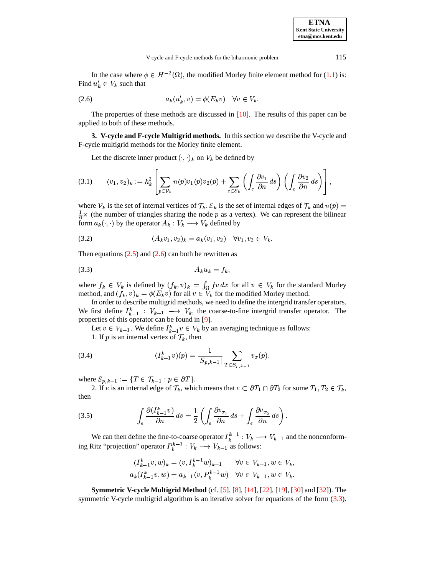<span id="page-3-0"></span>In the case where  $\phi \in H^{-2}(\Omega)$ , the modified Morley finite element method for [\(1.1\)](#page-0-0) is: Find  $u'_{k} \in V_{k}$  such that

$$
(2.6) \t\t a_k(u'_k, v) = \phi(E_k v) \quad \forall v \in V_k.
$$

The properties of these methods are discussed in  $[10]$ . The results of this paper can be applied to both of these methods.

**3. V-cycle and F-cycle Multigrid methods.** In this section we describe the V-cycle and F-cycle multigrid methods for the Morley finite element.

Let the discrete inner product  $(\cdot, \cdot)_k$  on  $V_k$  be defined by

<span id="page-3-5"></span><span id="page-3-2"></span><span id="page-3-1"></span>the contract of the contract of the contract of the contract of the contract of the contract of

$$
(3.1) \qquad (v_1, v_2)_k := h_k^2 \left[ \sum_{p \in \mathcal{V}_k} n(p) v_1(p) v_2(p) + \sum_{e \in \mathcal{E}_k} \left( \int_e \frac{\partial v_1}{\partial n} ds \right) \left( \int_e \frac{\partial v_2}{\partial n} ds \right) \right],
$$

where  $V_k$  is the set of internal vertices of  $\mathcal{T}_k$ ,  $\mathcal{E}_k$  is the set of internal edges of  $\mathcal{T}_k$  and  $n(p)$  =  $\frac{1}{6}$  x (the number of triangles sharing the node p as a vertex). We can represent the bilinear form  $a_k(\cdot, \cdot)$  by the operator  $A_k : V_k \longrightarrow V_k$  defined by

$$
(3.2) \qquad (A_k v_1, v_2)_k = a_k (v_1, v_2) \quad \forall v_1, v_2 \in V_k.
$$

Then equations  $(2.5)$  and  $(2.6)$  can both be rewritten as

$$
(3.3) \t A_k u_k = f_k,
$$

where  $f_k \in V_k$  is defined by  $(f_k, v)_k = \int_{\Omega} fv \, dx$  for all  $v \in V_k$  for the standard Morley where  $f_k \in V_k$  is defined by  $(f_k, v)_k = \int_{\Omega} fv \, dx$  for all  $v \in V_k$  for the stan method, and  $(f_k, v)_k = \phi(E_k v)$  for all  $v \in V_k$  for the modified Morley method.

In order to describe multigrid methods, we need to define the intergrid transfer operators. We first define  $I_{k-1}^k : V_{k-1} \longrightarrow V_k$ , the coarse-to-fine intergrid transfer operator. The properties of this operator can be found in [\[9\]](#page-19-5).

<span id="page-3-3"></span>Let  $v \in V_{k-1}$ . We define  $I_{k-1}^k v \in V_k$  by an averaging technique as follows:

1. If p is an internal vertex of  $\mathcal{T}_k$ , then

(3.4) 
$$
(I_{k-1}^k v)(p) = \frac{1}{|S_{p,k-1}|} \sum_{T \in S_{p,k-1}} v_T(p),
$$

where  $S_{p,k-1} := \{ T \in \mathcal{T}_{k-1} : p \in$ 

<span id="page-3-4"></span>re  $S_{p,k-1} := \{ T \in \mathcal{T}_{k-1} : p \in \partial T \}$ .<br>2. If *e* is an internal edge of  $\mathcal{T}_k$ , which means that  $e \subset \partial T_1 \cap \partial T_2$  for some  $T_1, T_2 \in \mathcal{T}_k$ , then

(3.5) 
$$
\int_{e} \frac{\partial (I_{k-1}^{k} v)}{\partial n} ds = \frac{1}{2} \left( \int_{e} \frac{\partial v_{r_1}}{\partial n} ds + \int_{e} \frac{\partial v_{r_2}}{\partial n} ds \right).
$$

We can then define the fine-to-coarse operator  $I_k^{k-1}: V_k \longrightarrow$ <sup>6</sup>  $\kappa$  .  $\kappa$  .  $\kappa$  .  $\kappa$  . The contract of  $\kappa$ 1 and the nonconforming Ritz "projection" operator  $P_k^{k-1}: V_k \longrightarrow V_k$ <sup>6</sup>  $V_k^{k-1}: V_k \longrightarrow V_{k-1}$  as follows:

$$
(I_{k-1}^k v, w)_k = (v, I_k^{k-1} w)_{k-1} \quad \forall v \in V_{k-1}, w \in V_k,
$$
  

$$
a_k(I_{k-1}^k v, w) = a_{k-1}(v, P_k^{k-1} w) \quad \forall v \in V_{k-1}, w \in V_k.
$$

**Symmetric V-cycle Multigrid Method** (cf. [\[5\]](#page-19-9), [\[8\]](#page-19-4), [\[14\]](#page-19-10), [\[22\]](#page-20-8), [\[19\]](#page-20-9), [\[30\]](#page-20-10) and [\[32\]](#page-20-11)). The symmetric V-cycle multigrid algorithm is an iterative solver for equations of the form [\(3.3\)](#page-3-1).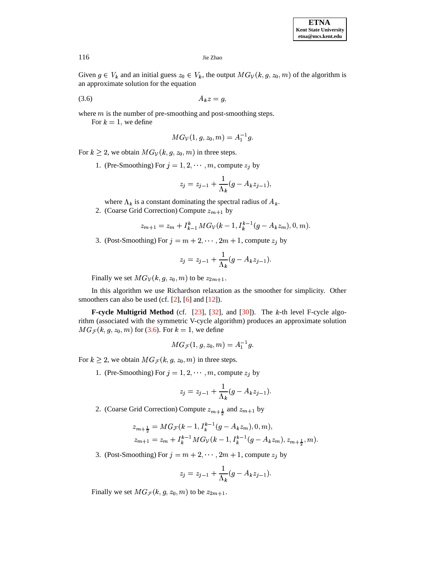<span id="page-4-0"></span>Given  $g \in V_k$  and an initial guess  $z_0 \in V_k$ , the output  $MG_{\mathcal{V}}(k, g, z_0, m)$  of the algorithm is an approximate solution for the equation

$$
(3.6) \t\t A_k z = g,
$$

where  $m$  is the number of pre-smoothing and post-smoothing steps.

For  $k=1$ , we define

$$
MG_{\mathcal{V}}(1,g,z_{0},m)=A_{1}^{-1}g.
$$

For  $k \geq 2$ , we obtain  $MG_V(k, g, z_0, m)$  in three steps.

1. (Pre-Smoothing) For  $j = 1, 2, \cdots, m$ , compute  $z_j$  by

$$
z_j = z_{j-1} + \frac{1}{\Lambda_k}(g - A_k z_{j-1}),
$$

where  $\Lambda_k$  is a constant dominating the spectral radius of  $A_k$ .

2. (Coarse Grid Correction) Compute  $z_{m+1}$  by

$$
z_{m+1} = z_m + I_{k-1}^k MG_\mathcal{V}(k-1, I_k^{k-1}(g - A_k z_m), 0, m).
$$

3. (Post-Smoothing) For  $j = m + 2, \cdots, 2m + 1$ , compute  $z_j$  by

$$
z_j = z_{j-1} + \frac{1}{\Lambda_k} (g - A_k z_{j-1}).
$$

Finally we set  $MG_V(k,g,z_0,m)$  to be  $z_{2m+1}$ .

In this algorithm we use Richardson relaxation as the smoother for simplicity. Other smoothers can also be used (cf. [\[2\]](#page-19-11), [\[6\]](#page-19-12) and [\[12\]](#page-19-13)).

**F-cycle Multigrid Method** (cf.  $[23]$ ,  $[32]$ , and  $[30]$ ). The k-th level F-cycle algorithm (associated with the symmetric V-cycle algorithm) produces an approximate solution  $MG_{\mathcal{F}}(k, g, z_0, m)$  for [\(3.6\)](#page-4-0). For  $k = 1$ , we define

$$
MG_{\mathcal{F}}(1,g,z_0,m)=A_1^{-1}g.
$$

For  $k \geq 2$ , we obtain  $MG_{\mathcal{F}}(k, g, z_0, m)$  in three steps.

1. (Pre-Smoothing) For  $j = 1, 2, \cdots, m$ , compute  $z_j$  by

$$
z_j = z_{j-1} + \frac{1}{\Lambda_k}(g - A_k z_{j-1}).
$$

2. (Coarse Grid Correction) Compute  $z_{m+\frac{1}{2}}$  and  $z_{m+1}$  by

$$
z_{m+\frac{1}{2}} = MG_{\mathcal{F}}(k-1, I_k^{k-1}(g - A_k z_m), 0, m),
$$
  
\n
$$
z_{m+1} = z_m + I_k^{k-1} MG_{\mathcal{V}}(k-1, I_k^{k-1}(g - A_k z_m), z_{m+\frac{1}{2}}, m).
$$

3. (Post-Smoothing) For  $j = m + 2, \cdots, 2m + 1$ , compute  $z_j$  by

$$
z_j = z_{j-1} + \frac{1}{\Lambda_k}(g - A_k z_{j-1}).
$$

Finally we set  $MG_{\mathcal{F}}(k, g, z_0, m)$  to be  $z_{2m+1}$ .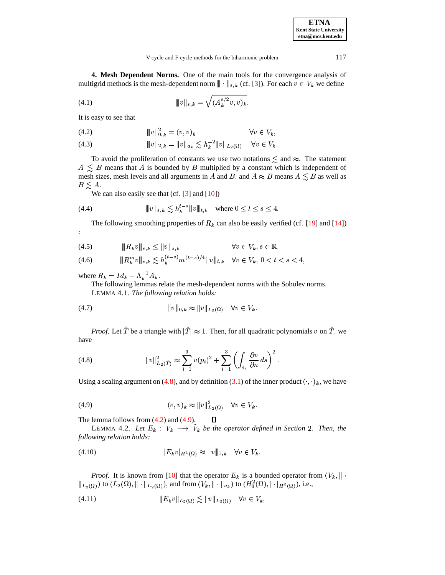**4. Mesh Dependent Norms.** One of the main tools for the convergence analysis of multigrid methods is the mesh-dependent norm  $\|\cdot\|$  $\parallel_{s,k}$  (cf. [\[3\]](#page-19-14)). For each  $v \in V_k$  we define

(4.1) 
$$
\|v\|_{s,k} = \sqrt{(A_k^{s/2}v,v)_k}.
$$

<span id="page-5-1"></span>It is easy to see that

<span id="page-5-5"></span>(4.2) 
$$
||v||_{0,k}^2 = (v,v)_k \qquad \forall v \in V_k,
$$

(4.2) 
$$
\|v\|_{0,k} = (v, v)_k \qquad \forall v \in V_k,
$$
  
(4.3) 
$$
\|v\|_{2,k} = \|v\|_{a_k} \lesssim h_k^{-2} \|v\|_{L_2(\Omega)} \qquad \forall v \in V_k.
$$

To avoid the proliferation of constants we use two notations  $\leq$  and  $\approx$ . The statement  $A \leq B$  means that A is bounded by B multiplied by a constant which is independent of mesh sizes, mesh levels and all arguments in A and B, and  $A \approx B$  means  $A \leq B$  as well as  $B \leq A$ .

We can also easily see that  $(cf. [3]$  $(cf. [3]$  and  $[10]$ )

<sup>6</sup>

<span id="page-5-3"></span>(4.4) 
$$
||v||_{s,k} \lesssim h_k^{t-s}||v||_{t,k} \text{ where } 0 \leq t \leq s \leq 4.
$$

The following smoothing properties of  $R_k$  can also be easily verified (cf. [\[19\]](#page-20-9) and [\[14\]](#page-19-10))

(4.5) 
$$
\|R_k v\|_{s,k} \le \|v\|_{s,k} \qquad \forall v \in V_k, s \in \mathbb{R},
$$

(4.6) 
$$
||H_{k}^{m}v||_{s,k} \leq ||v||_{s,k} \leq h_{k}^{(t-s)}m^{(t-s)/4}||v||_{t,k} \quad \forall v \in V_{k}, 0 < t < s < 4,
$$
  
(4.6) 
$$
||R_{k}^{m}v||_{s,k} \leq h_{k}^{(t-s)}m^{(t-s)/4}||v||_{t,k} \quad \forall v \in V_{k}, 0 < t < s < 4,
$$

where  $R_k = Id_k - \Lambda_k^{-1} A_k$ .  $\mathbf{v}$  -  $\mathbf{v}$ .

:

The following lemmas relate the mesh-dependent norms with the Sobolev norms. LEMMA 4.1. *The following relation holds:*

(4.7) 
$$
||v||_{0,k} \approx ||v||_{L_2(\Omega)} \quad \forall v \in V_k.
$$

<span id="page-5-0"></span>*Proof.* Let T be a triangle with  $|T| \approx 1$ . Then, for all quadratic polynomials v on T, we have

(4.8) 
$$
||v||_{L_2(\hat{T})}^2 \approx \sum_{i=1}^3 v(p_i)^2 + \sum_{i=1}^3 \left( \int_{e_i} \frac{\partial v}{\partial n} ds \right)^2.
$$

<span id="page-5-2"></span>Using a scaling argument on [\(4.8\)](#page-5-0), and by definition [\(3.1\)](#page-3-2) of the inner product  $(\cdot, \cdot)_k$ , we have

(4.9) 
$$
(v,v)_k \approx ||v||_{L_2(\Omega)}^2 \quad \forall v \in V_k.
$$

The lemma follows from  $(4.2)$  and  $(4.9)$ .  $\Box$ 

<span id="page-5-4"></span>LEMMA 4.2. Let  $E_k : V_k \longrightarrow V_k$  be the operator defined in Section 2. Then, the *following relation holds:*

 $\sim$   $\sim$ 

$$
\begin{aligned} \text{(4.10)} \qquad & \qquad |E_k v|_{H^1(\Omega)} \approx \|v\|_{1,k} \quad \forall v \in V_k. \end{aligned}
$$

*Proof.* It is known from [\[10\]](#page-19-6) that the operator  $E_k$  is a bounded operator from  $(V_k, || \cdot$ <br>  $\infty)$  to  $(L_2(\Omega), || \cdot ||_{L_2(\Omega)})$ , and from  $(V_k, || \cdot ||_{L_2(\Omega)})$  to  $(H_0^2(\Omega), |\cdot ||_{H_2(\Omega)})$ , i.e., *Proof.* It is known from [10] that the operator  $E_k$  is a bounded operator fr<br>  $||_{L_2(\Omega)}$  to  $(L_2(\Omega), || \cdot ||_{L_2(\Omega)})$ , and from  $(V_k, || \cdot ||_{a_k})$  to  $(H_0^2(\Omega), |\cdot |_{H^2(\Omega)})$ , i.e.,<br>
(4.11)  $||E_k v||_{L_2(\Omega)} \le ||v||_{L_2(\Omega)} \quad \forall v \in V_k$ .

<sup>X</sup>

$$
(4.11) \t\t\t\t\t||E_k v||_{L_2(\Omega)} \lesssim ||v||_{L_2(\Omega)} \quad \forall v \in V_k,
$$

. . . . .

**ETNA Kent State University etna@mcs.kent.edu**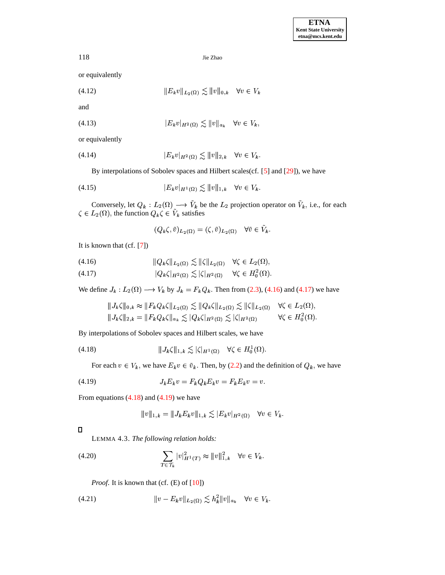or equivalently

(4.12) 
$$
||E_k v||_{L_2(\Omega)} \lesssim ||v||_{0,k} \quad \forall v \in V_k
$$

and

(4.13) 
$$
|E_k v|_{H^2(\Omega)} \lesssim ||v||_{a_k} \quad \forall v \in V_k,
$$

or equivalently

(4.14) 
$$
|E_k v|_{H^2(\Omega)} \lesssim ||v||_{2,k} \quad \forall v \in V_k.
$$

By interpolations of Sobolev spaces and Hilbert scales(cf. [\[5\]](#page-19-9) and [\[29\]](#page-20-13)), we have

(4.15) 
$$
|E_k v|_{H^1(\Omega)} \lesssim ||v||_{1,k} \quad \forall v \in V_k.
$$

Conversely, let  $Q_k : L_2(\Omega) \longrightarrow V_k$  be the  $L_2$  projection operator on  $V_k$ , i.e., for each  $\zeta \in L_2(\Omega)$ , the function  $Q_k \zeta \in V_k$  satisfies

$$
(Q_k \zeta, \tilde{v})_{L_2(\Omega)} = (\zeta, \tilde{v})_{L_2(\Omega)} \quad \forall \tilde{v} \in \tilde{V}_k.
$$

<span id="page-6-0"></span>It is known that (cf. [\[7\]](#page-19-15))

(4.16) 
$$
||Q_k\zeta||_{L_2(\Omega)} \lesssim ||\zeta||_{L_2(\Omega)} \quad \forall \zeta \in L_2(\Omega),
$$

<span id="page-6-1"></span>(4.16) 
$$
||Q_k\zeta||_{L_2(\Omega)} \gtrsim ||\zeta||_{L_2(\Omega)} \quad \forall \zeta \in L_2(\Omega),
$$
  
(4.17) 
$$
|Q_k\zeta|_{H^2(\Omega)} \lesssim |\zeta|_{H^2(\Omega)} \quad \forall \zeta \in H_0^2(\Omega).
$$

We define  $J_k : L_2(\Omega) \longrightarrow V_k$  by  $J_k = F_k Q_k$ . Then from [\(2.3\)](#page-2-1), [\(4.16\)](#page-6-0) and [\(4.17\)](#page-6-1) we have

$$
||J_k\zeta||_{0,k} \approx ||F_kQ_k\zeta||_{L_2(\Omega)} \lesssim ||Q_k\zeta||_{L_2(\Omega)} \lesssim ||\zeta||_{L_2(\Omega)} \quad \forall \zeta \in L_2(\Omega),
$$
  

$$
||J_k\zeta||_{2,k} = ||F_kQ_k\zeta||_{a_k} \lesssim |Q_k\zeta|_{H^2(\Omega)} \lesssim |\zeta|_{H^2(\Omega)} \qquad \forall \zeta \in H_0^2(\Omega).
$$

By interpolations of Sobolev spaces and Hilbert scales, we have

(4.18) 
$$
\|J_k\zeta\|_{1,k} \lesssim |\zeta|_{H^1(\Omega)} \quad \forall \zeta \in H_0^1(\Omega).
$$

For each  $v \in V_k$ , we have  $E_k v \in \tilde{v}_k$ . Then, by [\(2.2\)](#page-2-0) and the definition of  $Q_k$ , we have

$$
(4.19) \t\t J_k E_k v = F_k Q_k E_k v = F_k E_k v = v.
$$

From equations  $(4.18)$  and  $(4.19)$  we have

<span id="page-6-5"></span><span id="page-6-3"></span><span id="page-6-2"></span>
$$
\|v\|_{1,k} = \|J_k E_k v\|_{1,k} \lesssim |E_k v|_{H^2(\Omega)} \quad \forall v \in V_k.
$$

## $\Box$

LEMMA 4.3. *The following relation holds:*

(4.20) 
$$
\sum_{T \in \mathcal{T}_k} |v|_{H^1(T)}^2 \approx ||v||_{1,k}^2 \quad \forall v \in V_k.
$$

<span id="page-6-4"></span>*Proof.* It is known that (cf. (E) of [\[10\]](#page-19-6))

(4.21) 
$$
||v - E_k v||_{L_2(\Omega)} \lesssim h_k^2 ||v||_{a_k} \quad \forall v \in V_k.
$$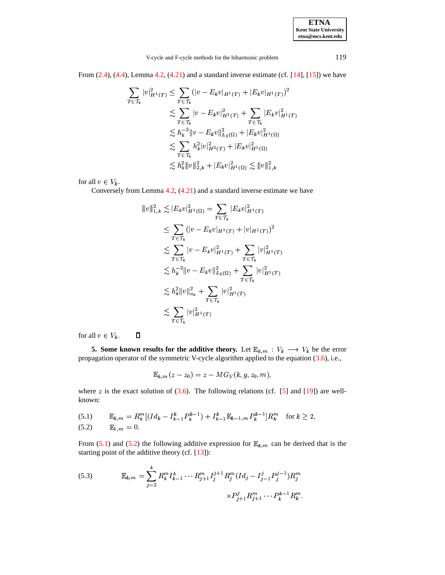| <b>ETNA</b>           |
|-----------------------|
| Kent State University |
| etna@mcs.kent.edu     |

From  $(2.4)$ ,  $(4.4)$ , Lemma [4.2,](#page-5-4)  $(4.21)$  and a standard inverse estimate (cf. [\[14\]](#page-19-10), [\[15\]](#page-19-16)) we have

$$
\sum_{T \in \mathcal{T}_k} |v|_{H^1(T)}^2 \le \sum_{T \in \mathcal{T}_k} (|v - E_k v|_{H^1(T)} + |E_k v|_{H^1(T)})^2
$$
\n
$$
\lesssim \sum_{T \in \mathcal{T}_k} |v - E_k v|_{H^1(T)}^2 + \sum_{T \in \mathcal{T}_k} |E_k v|_{H^1(T)}^2
$$
\n
$$
\lesssim h_k^{-2} \|v - E_k v\|_{L_2(\Omega)}^2 + |E_k v|_{H^1(\Omega)}^2
$$
\n
$$
\lesssim \sum_{T \in \mathcal{T}_k} h_k^2 |v|_{H^2(T)}^2 + |E_k v|_{H^1(\Omega)}^2
$$
\n
$$
\lesssim h_k^2 \|v\|_{2,k}^2 + |E_k v|_{H^1(\Omega)}^2 \lesssim \|v\|_{1,k}^2
$$

for all  $v \in V_k$ .

Conversely from Lemma [4.2,](#page-5-4) [\(4.21\)](#page-6-4) and a standard inverse estimate we have

$$
||v||_{1,k}^{2} \lesssim |E_{k}v|_{H^{1}(\Omega)}^{2} = \sum_{T \in \mathcal{T}_{k}} |E_{k}v|_{H^{1}(T)}^{2}
$$
  
\n
$$
\leq \sum_{T \in \mathcal{T}_{k}} (|v - E_{k}v|_{H^{1}(T)} + |v|_{H^{1}(T)})^{2}
$$
  
\n
$$
\lesssim \sum_{T \in \mathcal{T}_{k}} |v - E_{k}v|_{H^{1}(T)}^{2} + \sum_{T \in \mathcal{T}_{k}} |v|_{H^{1}(T)}^{2}
$$
  
\n
$$
\lesssim h_{k}^{-2} ||v - E_{k}v||_{L_{2}(\Omega)}^{2} + \sum_{T \in \mathcal{T}_{k}} |v|_{H^{1}(T)}^{2}
$$
  
\n
$$
\lesssim h_{k}^{2} ||v||_{a_{k}}^{2} + \sum_{T \in \mathcal{T}_{k}} |v|_{H^{1}(T)}^{2}
$$
  
\n
$$
\lesssim \sum_{T \in \mathcal{T}_{k}} |v|_{H^{1}(T)}^{2}
$$

for all  $v \in V_k$ .  $\Box$ 

**5.** Some known results for the additive theory. Let  $\mathbb{E}_{k,m}: V_k \longrightarrow V_k$  be the error propagation operator of the symmetric V-cycle algorithm applied to the equation [\(3.6\)](#page-4-0), i.e.,

$$
\mathbb{E}_{k,m}(z-z_0)=z-MG_{\mathcal{V}}(k,g,z_0,m),
$$

<span id="page-7-0"></span>where  $z$  is the exact solution of [\(3.6\)](#page-4-0). The following relations (cf. [\[5\]](#page-19-9) and [\[19\]](#page-20-9)) are wellknown:

<span id="page-7-1"></span>(5.1) 
$$
\mathbb{E}_{k,m} = R_k^m \left[ (Id_k - I_{k-1}^k P_k^{k-1}) + I_{k-1}^k \mathbb{E}_{k-1,m} P_k^{k-1} \right] R_k^m \text{ for } k \ge 2,
$$
  
(5.2) 
$$
\mathbb{E}_{1,m} = 0.
$$

From [\(5.1\)](#page-7-0) and [\(5.2\)](#page-7-1) the following additive expression for  $\mathbb{E}_{k,m}$  can be derived that is the starting point of the additive theory (cf. [\[13\]](#page-19-8)):

<span id="page-7-2"></span>(5.3) 
$$
\mathbb{E}_{k,m} = \sum_{j=2}^{k} R_k^m I_{k-1}^k \cdots R_{j+1}^m I_j^{j+1} R_j^m (Id_j - I_{j-1}^j P_j^{j-1}) R_j^m
$$

$$
\times P_{j+1}^j R_{j+1}^m \cdots P_k^{k-1} R_k^m.
$$

 $\overline{1}$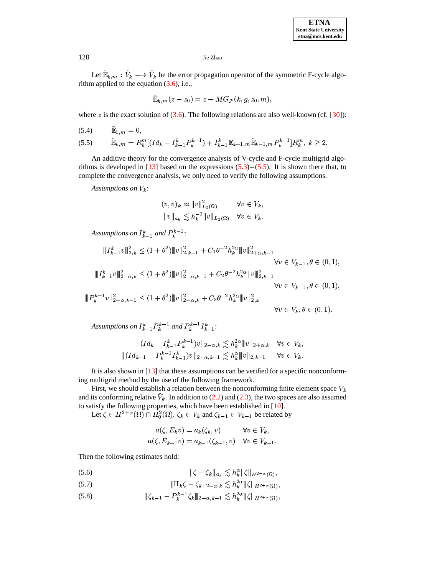Let  $\mathbb{E}_{k,m} : V_k \longrightarrow V_k$  be the error propagation operator of the symmetric F-cycle algorithm applied to the equation  $(3.6)$ , i.e.,

$$
\mathbb{\tilde{E}}_{\bm{k},\bm{m}}\left(z-z_{0}\right)=z-MG_{\mathcal{F}}(k,g,z_{0},m)
$$

where z is the exact solution of  $(3.6)$ . The following relations are also well-known (cf. [30]):

<span id="page-8-0"></span>(5.4) 
$$
\tilde{\mathbb{E}}_{1,m} = 0,
$$
  
(5.5)  $\tilde{\mathbb{E}}_{k,m} = R_k^m[(Id_k - I_{k-1}^k P_k^{k-1}) + I_{k-1}^k \mathbb{E}_{k-1,m} \tilde{\mathbb{E}}_{k-1,m} P_k^{k-1}]R_k^m, k \ge 2.$ 

An additive theory for the convergence analysis of V-cycle and F-cycle multigrid algorithms is developed in [13] based on the expressions  $(5.3)$  –  $(5.5)$ . It is shown there that, to complete the convergence analysis, we only need to verify the following assumptions.

Assumptions on  $V_k$ :

$$
(v, v)_k \approx ||v||_{L_2(\Omega)}^2 \qquad \forall v \in V_k,
$$
  

$$
||v||_{a_k} \lesssim h_k^{-2} ||v||_{L_2(\Omega)} \quad \forall v \in V_k.
$$

Assumptions on  $I_{k-1}^k$  and  $P_k^{k-1}$ :

$$
\|I_{k-1}^{k}v\|_{2,k}^{2} \leq (1+\theta^{2})\|v\|_{2,k-1}^{2} + C_{1}\theta^{-2}h_{k}^{2\alpha}\|v\|_{2+\alpha,k-1}^{2}
$$
  
\n
$$
\forall v \in V_{k-1}, \theta \in (0,1),
$$
  
\n
$$
\|I_{k-1}^{k}v\|_{2-\alpha,k}^{2} \leq (1+\theta^{2})\|v\|_{2-\alpha,k-1}^{2} + C_{2}\theta^{-2}h_{k}^{2\alpha}\|v\|_{2,k-1}^{2}
$$
  
\n
$$
\forall v \in V_{k-1}, \theta \in (0,1),
$$
  
\n
$$
\|P_{k}^{k-1}v\|_{2-\alpha,k-1}^{2} \leq (1+\theta^{2})\|v\|_{2-\alpha,k}^{2} + C_{3}\theta^{-2}h_{k}^{2\alpha}\|v\|_{2,k}^{2}
$$
  
\n
$$
\forall v \in V_{k}, \theta \in (0,1).
$$

Assumptions on  $I_{k-1}^k P_k^{k-1}$  and  $P_k^{k-1} I_{k-1}^k$ :

$$
\| (Id_k - I_{k-1}^k P_k^{k-1}) v \|_{2-\alpha,k} \lesssim h_k^{2\alpha} \| v \|_{2+\alpha,k} \quad \forall v \in V_k,
$$
  

$$
\| (Id_{k-1} - P_k^{k-1} I_{k-1}^k) v \|_{2-\alpha,k-1} \lesssim h_k^{\alpha} \| v \|_{2,k-1} \quad \forall v \in V_k.
$$

It is also shown in  $[13]$  that these assumptions can be verified for a specific nonconforming multigrid method by the use of the following framework.

First, we should establish a relation between the nonconforming finite element space  $V_k$ and its conforming relative  $V_k$ . In addition to (2.2) and (2.3), the two spaces are also assumed to satisfy the following properties, which have been established in [10].

Let  $\zeta \in H^{2+\alpha}(\Omega) \cap H_0^2(\Omega)$ ,  $\zeta_k \in V_k$  and  $\zeta_{k-1} \in V_{k-1}$  be related by

$$
a(\zeta, E_k v) = a_k(\zeta_k, v) \qquad \forall v \in V_k,
$$
  

$$
a(\zeta, E_{k-1} v) = a_{k-1}(\zeta_{k-1}, v) \quad \forall v \in V_{k-1}
$$

<span id="page-8-1"></span>Then the following estimates hold:

- $\|\zeta-\zeta_k\|_{a_k}\lesssim h_k^{\alpha}\|\zeta\|_{H^{2+\alpha}(\Omega)},$  $(5.6)$
- <span id="page-8-2"></span> $\|\Pi_k\zeta-\zeta_k\|_{2-\alpha,k}\lesssim h_k^{2\alpha}\|\zeta\|_{H^{2+\alpha}(\Omega)},$  $(5.7)$
- $|||\zeta_{k-1}-P_k^{k-1}\zeta_k||_{2-\alpha,k-1}\lesssim h_k^{2\alpha}||\zeta||_{H^{2+\alpha}(\Omega)},$  $(5.8)$

120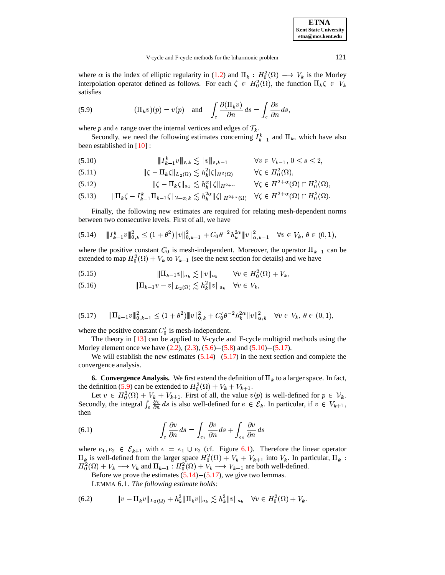**ETNA Kent State University etna@mcs.kent.edu**

## V-cycle and F-cycle methods for the biharmonic problem 121

<span id="page-9-3"></span>where  $\alpha$  is the index of elliptic regularity in [\(1.2\)](#page-0-1) and  $\Pi_k : H_0^2(\Omega) \longrightarrow V_k$  is the Morley interpolation operator defined as follows. For each  $\zeta \in H_0^2(\Omega)$ , the function  $\Pi_k \zeta \in V_k$ satisfies

(5.9) 
$$
(\Pi_k v)(p) = v(p) \text{ and } \int_e \frac{\partial(\Pi_k v)}{\partial n} ds = \int_e \frac{\partial v}{\partial n} ds,
$$
  
where *p* and *e* range over the internal vertices and edges of  $\mathcal{T}_k$ .

Secondly, we need the following estimates concerning  $I_{k-1}^k$  and  $\prod_k$ , which have also been established in [\[10\]](#page-19-6) :

<span id="page-9-0"></span> $\|I_{k-1}^k v\|_{s,k} \lesssim \|$  $\|v\|_{s,k} \lesssim \|v\|_{s,k-1}$ 1  $\forall v \in V_{k-1}, v \leq s \leq$ (5.10)  $\|I_{k-1}^k v\|_{s,k} \lesssim \|v\|_{s,k-1}$   $\forall v \in V_{k-1}, 0 \le s \le 2,$ <br>
(5.11)  $\| \zeta - \prod_k \zeta \|_{I_{k-1}(x)} \lesssim h_k^2 |\zeta|_{H^2(\Omega)}$   $\forall \zeta \in H^2_{\delta}(\Omega).$ 

$$
\|\zeta - \Pi_k \zeta\|_{L_2(\Omega)} \lesssim h_k^2 |\zeta|_{H^2(\Omega)} \qquad \forall \zeta \in H_0^2(\Omega),
$$

$$
(5.12) \t\t ||\zeta - \Pi_k \zeta||_{a_k} \lesssim h_k^{\alpha} \|\zeta\|_{H^{2+\alpha}} \t\t \forall \zeta \in H^{2+\alpha}(\Omega) \cap H_0^2(\Omega),
$$
  

$$
(5.13) \t\t \|\Pi_k \zeta - I_{k-1}^k \Pi_{k-1} \zeta\|_{2-\alpha} \leq h_k^{2\alpha} \|\zeta\|_{H^{2+\alpha}(\Omega)} \quad \forall \zeta \in H^{2+\alpha}(\Omega) \cap H_0^2(\Omega).
$$

 - - ! <sup>6</sup> <sup>6</sup> - - -<sup>1</sup> & "O <sup>U</sup> (5.13)  N>O - <sup>P</sup>  -VI

<span id="page-9-2"></span>Finally, the following new estimates are required for relating mesh-dependent norms between two consecutive levels. First of all, we have

(5.14) - - -! <sup>6</sup> - - <sup>1</sup> \_ <sup>L</sup> <sup>+</sup> - - - - <sup>1</sup> <sup>6</sup> <sup>+</sup> ` ? "O - - - - <sup>1</sup> <sup>6</sup> \*. & < :L V

where the positive constant  $C_0$  is mesh-independent. Moreover, the operator  $\Pi_{k-1}$  can be extended to map  $H_0^2(\Omega) + V_k$  to  $V_{k-1}$  (see the next section for details) and we have

<span id="page-9-6"></span><span id="page-9-5"></span>(5.15) 
$$
\|\Pi_{k-1}v\|_{a_k} \lesssim \|v\|_{a_k} \qquad \forall v \in H_0^2(\Omega) + V_k,
$$

<span id="page-9-1"></span>(5.15) 
$$
\| \Pi_{k-1} v \|_{a_k} \gtrsim \| v \|_{a_k} \quad \forall v \in H_0^-(\Omega) +
$$
  
(5.16) 
$$
\| \Pi_{k-1} v - v \|_{L_2(\Omega)} \lesssim h_k^2 \| v \|_{a_k} \quad \forall v \in V_k,
$$

$$
(5.17) \qquad \|\Pi_{k-1}v\|_{0,k-1}^2 \le (1+\theta^2)\|v\|_{0,k}^2 + C_0'\theta^{-2}h_k^{2\alpha}\|v\|_{\alpha,k}^2 \quad \forall v \in V_k, \ \theta \in (0,1),
$$

where the positive constant  $C'_0$  is mesh-independent.

The theory in [\[13\]](#page-19-8) can be applied to V-cycle and F-cycle multigrid methods using the Morley element once we have  $(2.2)$ ,  $(2.3)$ ,  $(5.6)-(5.8)$  $(5.6)-(5.8)$  $(5.6)-(5.8)$  and  $(5.10)-(5.17)$  $(5.10)-(5.17)$  $(5.10)-(5.17)$ .

We will establish the new estimates  $(5.14)-(5.17)$  $(5.14)-(5.17)$  $(5.14)-(5.17)$  in the next section and complete the convergence analysis.

**6.** Convergence Analysis. We first extend the definition of  $\Pi_k$  to a larger space. In fact, the definition [\(5.9\)](#page-9-3) can be extended to  $H_0^2(\Omega) + V_k + V_{k+1}$ .

<span id="page-9-7"></span>Let  $v \in H_0^2(\Omega) + V_{k+1}$ . First of all, the value  $v(p)$  is well-defined for  $p \in V_k$ . Secondly, the integral  $\int_e \frac{\partial v}{\partial n} ds$  is also well-defined for  $e \in \mathcal{E}_k$ . In particular, if  $v \in V_{k+1}$ , then

(6.1) 
$$
\int_{e} \frac{\partial v}{\partial n} ds = \int_{e_1} \frac{\partial v}{\partial n} ds + \int_{e_2} \frac{\partial v}{\partial n} ds
$$

where  $e_1, e_2 \in \mathcal{E}_{k+1}$  with  $e = e_1 \cup e_2$  (cf. Figure [6.1\)](#page-16-0). Therefore the linear operator  $\Pi_k$  is well-defined from the larger space  $H_0^2(\Omega) + V_k + V_{k+1}$  into  $V_k$ . In particular,  $\Pi_k$ :  $H_0^2(\Omega) + V_k \longrightarrow V_k$  and  $\Pi_{k-1} : H_0^2(\Omega) + V_k \longrightarrow V_{k-1}$  are both well-defined.

<span id="page-9-4"></span>Before we prove the estimates  $(5.14)$ – $(5.17)$ , we give two lemmas.

LEMMA 6.1. *The following estimate holds:*

(6.2) 
$$
||v - \Pi_k v||_{L_2(\Omega)} + h_k^2 ||\Pi_k v||_{a_k} \lesssim h_k^2 ||v||_{a_k} \quad \forall v \in H_0^2(\Omega) + V_k.
$$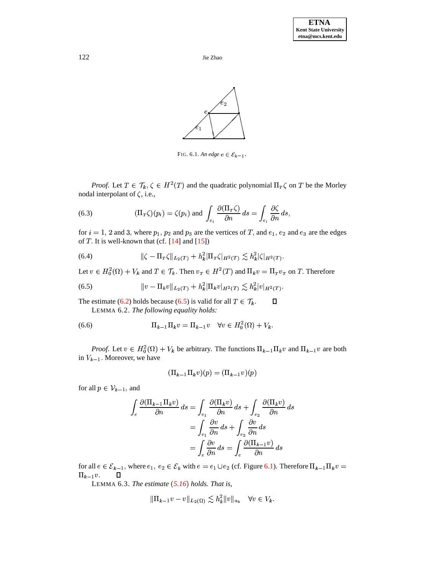



<span id="page-10-0"></span>FIG. 6.1. An edge  $e \in \mathcal{E}_{k-1}$ .

*Proof.* Let  $T \in \mathcal{T}_k$ ,  $\zeta \in H^2(T)$  and the quadratic polynomial  $\Pi_T \zeta$  on  $T$  be the Morley nodal interpolant of  $\zeta$ , i.e.,

(6.3) 
$$
(\Pi_T \zeta)(p_i) = \zeta(p_i) \text{ and } \int_{e_i} \frac{\partial(\Pi_T \zeta)}{\partial n} ds = \int_{e_i} \frac{\partial \zeta}{\partial n} ds,
$$

for  $i = 1, 2$  and 3, where  $p_1, p_2$  and  $p_3$  are the vertices of T, and  $e_1, e_2$  and  $e_3$  are the edges of  $T$ . It is well-known that (cf. [14] and [15])

(6.4) 
$$
\|\zeta - \Pi_T \zeta\|_{L_2(T)} + h_k^2 |\Pi_T \zeta|_{H^2(T)} \lesssim h_k^2 |\zeta|_{H^2(T)}
$$

Let  $v \in H_0^2(\Omega) + V_k$  and  $T \in \mathcal{T}_k$ . Then  $v_T \in H^2(T)$  and  $\Pi_k v = \Pi_T v_T$  on T. Therefore

(6.5) 
$$
||v - \Pi_k v||_{L_2(T)} + h_k^2 |\Pi_k v|_{H^2(T)} \lesssim h_k^2 |v|_{H^2(T)}.
$$

The estimate (6.2) holds because (6.5) is valid for all  $T \in \mathcal{T}_k$ .  $\Box$ LEMMA 6.2. The following equality holds:

(6.6) 
$$
\Pi_{k-1} \Pi_k v = \Pi_{k-1} v \quad \forall v \in H_0^2(\Omega) + V_k.
$$

*Proof.* Let  $v \in H_0^2(\Omega) + V_k$  be arbitrary. The functions  $\Pi_{k-1} \Pi_k v$  and  $\Pi_{k-1} v$  are both in  $V_{k-1}$ . Moreover, we have

<span id="page-10-1"></span>
$$
(\Pi_{k-1}\Pi_k v)(p) = (\Pi_{k-1}v)(p)
$$

for all  $p \in V_{k-1}$ , and

$$
\int_{e} \frac{\partial(\Pi_{k-1}\Pi_{k}v)}{\partial n} ds = \int_{e_{1}} \frac{\partial(\Pi_{k}v)}{\partial n} ds + \int_{e_{2}} \frac{\partial(\Pi_{k}v)}{\partial n} ds
$$

$$
= \int_{e_{1}} \frac{\partial v}{\partial n} ds + \int_{e_{2}} \frac{\partial v}{\partial n} ds
$$

$$
= \int_{e} \frac{\partial v}{\partial n} ds = \int_{e} \frac{\partial(\Pi_{k-1}v)}{\partial n} ds
$$

<span id="page-10-2"></span>for all  $e \in \mathcal{E}_{k-1}$ , where  $e_1, e_2 \in \mathcal{E}_k$  with  $e = e_1 \cup e_2$  (cf. Figure 6.1). Therefore  $\Pi_{k-1} \Pi_k v =$  $\Pi_{k-1}v.$  $\Box$ 

LEMMA 6.3. The estimate  $(5.16)$  holds. That is,

$$
|\Pi_{k-1}v - v||_{L_2(\Omega)} \lesssim h_k^2 ||v||_{a_k} \quad \forall v \in V_k.
$$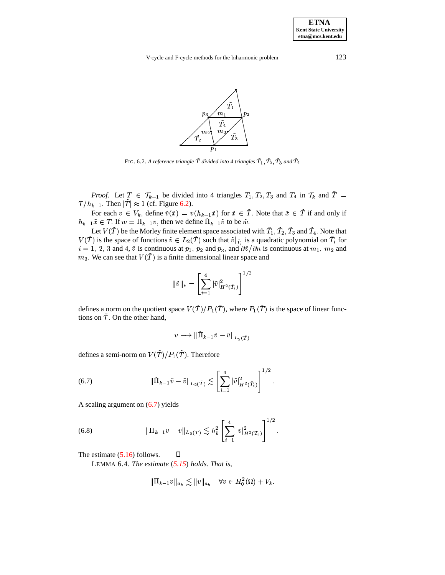V-cycle and F-cycle methods for the biharmonic problem 123



<span id="page-11-0"></span>FIG. 6.2. A reference triangle  $T$  divided into 4 triangles  $T_1, T_2, T_3$  and  $T_4$ 

*Proof.* Let  $T \in \mathcal{T}_{k-1}$  be divided into 4 triangles  $T_1, T_2, T_3$  and  $T_4$  in  $\mathcal{T}_k$  and  $T =$  $T/h_{k-1}$ . Then  $|T| \approx 1$  (cf. Figure [6.2\)](#page-11-0).

For each  $v \in V_k$ , define  $\tilde{v}(\tilde{x}) = v(h_{k-1}\tilde{x})$  for  $\tilde{x} \in T$ . Note that  $\tilde{x} \in T$  if and only if ?  $h_{k-1}\tilde{x} \in T$ . If  $w = \Pi_{k-1}v$ , then we define  $\Pi_{k-1}\tilde{v}$  to be  $\tilde{w}$ .

Let  $V(T)$  be the Morley finite element space associated with  $T_1, T_2, T_3$  and  $T_4$ . Note that  $V(T)$  is the space of functions  $\tilde{v} \in L_2(T)$  such that  $\tilde{v}|_{\tilde{T}_i}$  is a quadratic polynomial on  $T_i$  for  $V(\overline{T})$  is the space of functions  $\tilde{v} \in L_2(\overline{T})$  such that  $\tilde{v}|_{\overline{T}_i}$  is a quadratic polynomial on  $\overline{T}_i$  for  $i = 1, 2, 3$  and 4,  $\tilde{v}$  is continuous at  $p_1$ ,  $p_2$  and  $p_3$ , and  $\partial \tilde{v}/\partial n$  is continu  $m_3$ . We can see that  $V(T)$  is a finite dimensional linear space and

$$
\|\tilde{v}\|_{*} = \left[\sum_{i=1}^{4} |\tilde{v}|^{2}_{H^{2}(\tilde{T}_{i})}\right]^{1/2}
$$

defines a norm on the quotient space  $V(\tilde{T})/P_1(\tilde{T})$ , where  $P_1(\tilde{T})$  is the space of linear functions on  $\tilde{T}$ . On the other hand,

<span id="page-11-1"></span>
$$
v \longrightarrow \|\tilde{\Pi}_{k-1}\tilde{v} - \tilde{v}\|_{L_2(\tilde{T})}
$$

<sup>X</sup>

defines a semi-norm on  $V(\tilde{T})/P_1(\tilde{T})$ . Therefore

(6.7) 
$$
\|\tilde{\Pi}_{k-1}\tilde{v} - \tilde{v}\|_{L_2(\tilde{T})} \lesssim \left[\sum_{i=1}^4 |\tilde{v}|^2_{H^2(\tilde{T}_i)}\right]^{1/2}.
$$

A scaling argument on [\(6.7\)](#page-11-1) yields

(6.8) 
$$
\|\Pi_{k-1}v - v\|_{L_2(T)} \lesssim h_k^2 \left[\sum_{i=1}^4 |v|_{H^2(T_i)}^2\right]^{1/2}.
$$

 $\Box$ 

The estimate [\(5.16\)](#page-9-5) follows.

LEMMA 6.4. *The estimate [5.15](#page-9-6) holds. That is,*

$$
\|\Pi_{k-1}v\|_{a_k} \lesssim \|v\|_{a_k} \quad \forall v \in H_0^2(\Omega) + V_k.
$$

**ETNA Kent State University etna@mcs.kent.edu**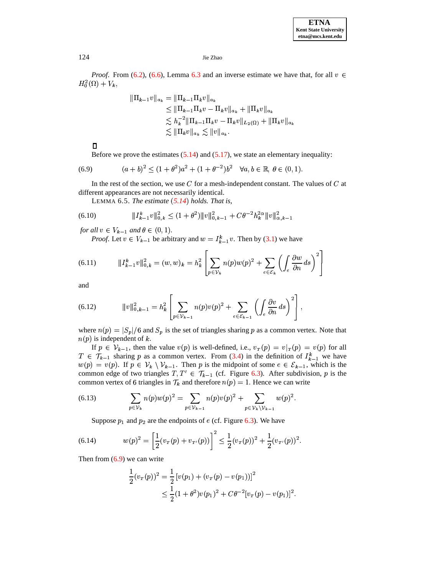*Proof.* From (6.2), (6.6), Lemma 6.3 and an inverse estimate we have that, for all  $v \in$  $H_0^2(\Omega)+V_k,$ 

<span id="page-12-0"></span>
$$
\begin{aligned} \|\Pi_{k-1}v\|_{a_k} &= \|\Pi_{k-1}\Pi_k v\|_{a_k} \\ &\le \|\Pi_{k-1}\Pi_k v - \Pi_k v\|_{a_k} + \|\Pi_k v\|_{a_k} \\ &\le h_k^{-2} \|\Pi_{k-1}\Pi_k v - \Pi_k v\|_{L_2(\Omega)} + \|\Pi_k v\|_{a_k} \\ &\le \|\Pi_k v\|_{a_k} \le \|v\|_{a_k} .\end{aligned}
$$

 $\Box$ 

Before we prove the estimates  $(5.14)$  and  $(5.17)$ , we state an elementary inequality:

(6.9) 
$$
(a+b)^2 \le (1+\theta^2)a^2 + (1+\theta^{-2})b^2 \quad \forall a, b \in \mathbb{R}, \ \theta \in (0,1).
$$

In the rest of the section, we use  $C$  for a mesh-independent constant. The values of  $C$  at different appearances are not necessarily identical.

LEMMA 6.5. The estimate  $(5.14)$  holds. That is,

(6.10) 
$$
||I_{k-1}^k v||_{0,k}^2 \le (1+\theta^2) ||v||_{0,k-1}^2 + C\theta^{-2}h_k^{2\alpha} ||v||_{\alpha,k-1}^2
$$

for all  $v \in V_{k-1}$  and  $\theta \in (0,1)$ .

*Proof.* Let  $v \in V_{k-1}$  be arbitrary and  $w = I_{k-1}^k v$ . Then by (3.1) we have

(6.11) 
$$
||I_{k-1}^k v||_{0,k}^2 = (w, w)_k = h_k^2 \left[ \sum_{p \in \mathcal{V}_k} n(p) w(p)^2 + \sum_{e \in \mathcal{E}_k} \left( \int_e \frac{\partial w}{\partial n} ds \right)^2 \right]
$$

<span id="page-12-4"></span>and

(6.12) 
$$
\|v\|_{0,k-1}^2 = h_k^2 \left[ \sum_{p \in \mathcal{V}_{k-1}} n(p) v(p)^2 + \sum_{e \in \mathcal{E}_{k-1}} \left( \int_e \frac{\partial v}{\partial n} ds \right)^2 \right],
$$

<span id="page-12-3"></span><span id="page-12-2"></span> $\overline{a}$ 

where  $n(p) = |S_p|/6$  and  $S_p$  is the set of triangles sharing p as a common vertex. Note that  $n(p)$  is independent of k.

If  $p \in V_{k-1}$ , then the value  $v(p)$  is well-defined, i.e.,  $v_T(p) = v|_{T}(p) = v(p)$  for all  $T \in \mathcal{T}_{k-1}$  sharing p as a common vertex. From (3.4) in the definition of  $I_{k-1}^k$  we have  $w(p) = v(p)$ . If  $p \in V_k \setminus V_{k-1}$ . Then p is the midpoint of some  $e \in \mathcal{E}_{k-1}$ , which is the common edge of two triangles  $T, T' \in \mathcal{T}_{k-1}$  (cf. Figure 6.3). After subdivision, p is the common vertex of 6 triangles in  $\mathcal{T}_k$  and therefore  $n(p) = 1$ . Hence we can write

(6.13) 
$$
\sum_{p \in \mathcal{V}_k} n(p) w(p)^2 = \sum_{p \in \mathcal{V}_{k-1}} n(p) v(p)^2 + \sum_{p \in \mathcal{V}_k \setminus \mathcal{V}_{k-1}} w(p)^2
$$

Suppose  $p_1$  and  $p_2$  are the endpoints of e (cf. Figure 6.3). We have

<span id="page-12-1"></span>(6.14) 
$$
w(p)^2 = \left[\frac{1}{2}(v_T(p) + v_{T'}(p))\right]^2 \le \frac{1}{2}(v_T(p))^2 + \frac{1}{2}(v_{T'}(p))^2
$$

Then from  $(6.9)$  we can write

$$
\frac{1}{2}(v_T(p))^2 = \frac{1}{2} [v(p_1) + (v_T(p) - v(p_1))]^2
$$
  
\n
$$
\leq \frac{1}{2} (1 + \theta^2) v(p_1)^2 + C\theta^{-2} [v_T(p) - v(p_1)]^2.
$$

124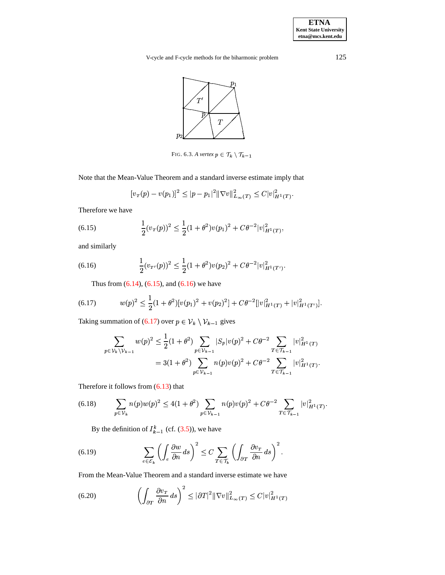**ETNA Kent State University etna@mcs.kent.edu**

V-cycle and F-cycle methods for the biharmonic problem 125



<span id="page-13-0"></span>FIG. 6.3. A vertex  $p \in \mathcal{T}_k \setminus \mathcal{T}_{k-1}$ 

Note that the Mean-Value Theorem and a standard inverse estimate imply that

$$
[v_T(p) - v(p_1)]^2 \le |p - p_1|^2 \|\nabla v\|_{L_\infty(T)}^2 \le C|v|_{H^1(T)}^2.
$$

<span id="page-13-1"></span>Therefore we have

(6.15) 
$$
\frac{1}{2}(v_T(p))^2 \leq \frac{1}{2}(1+\theta^2)v(p_1)^2 + C\theta^{-2}|v|_{H^1(T)}^2,
$$

<span id="page-13-2"></span>and similarly

(6.16) 
$$
\frac{1}{2}(v_{\tau'}(p))^2 \leq \frac{1}{2}(1+\theta^2)v(p_2)^2 + C\theta^{-2}|v|_{H^1(T')}^2.
$$

<span id="page-13-3"></span>Thus from  $(6.14)$ ,  $(6.15)$ , and  $(6.16)$  we have

(6.17) 
$$
w(p)^2 \leq \frac{1}{2}(1+\theta^2)[v(p_1)^2+v(p_2)^2]+C\theta^{-2}[|v|_{H^1(T)}^2+|v|_{H^1(T')}^2].
$$

Taking summation of [\(6.17\)](#page-13-3) over  $p \in \mathcal{V}_k \setminus \mathcal{V}_{k-1}$  gives 1 gives

<span id="page-13-6"></span>
$$
\sum_{p \in \mathcal{V}_k \setminus \mathcal{V}_{k-1}} w(p)^2 \leq \frac{1}{2} (1 + \theta^2) \sum_{p \in \mathcal{V}_{k-1}} |S_p| v(p)^2 + C \theta^{-2} \sum_{T \in \mathcal{T}_{k-1}} |v|_{H^1(T)}^2
$$
  
= 3(1 + \theta^2) \sum\_{p \in \mathcal{V}\_{k-1}} n(p) v(p)^2 + C \theta^{-2} \sum\_{T \in \mathcal{T}\_{k-1}} |v|\_{H^1(T)}^2.

Therefore it follows from [\(6.13\)](#page-12-2) that

(6.18) 
$$
\sum_{p \in \mathcal{V}_k} n(p) w(p)^2 \le 4(1+\theta^2) \sum_{p \in \mathcal{V}_{k-1}} n(p) v(p)^2 + C\theta^{-2} \sum_{T \in \mathcal{T}_{k-1}} |v|_{H^1(T)}^2.
$$

<span id="page-13-5"></span>By the definition of  $I_{k-1}^k$  (cf. [\(3.5\)](#page-3-4)), we have

<span id="page-13-4"></span>(6.19) 
$$
\sum_{e \in \mathcal{E}_k} \left( \int_e \frac{\partial w}{\partial n} ds \right)^2 \leq C \sum_{T \in \mathcal{T}_k} \left( \int_{\partial T} \frac{\partial v_T}{\partial n} ds \right)^2.
$$

From the Mean-Value Theorem and a standard inverse estimate we have

(6.20) 
$$
\left(\int_{\partial T} \frac{\partial v_T}{\partial n} ds\right)^2 \leq |\partial T|^2 \|\nabla v\|_{L_\infty(T)}^2 \leq C|v|_{H^1(T)}^2
$$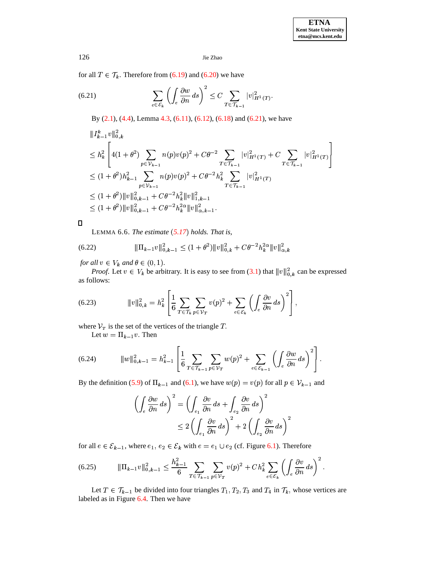for all  $T \in \mathcal{T}_k$ . Therefore from (6.19) and (6.20) we have

(6.21) 
$$
\sum_{e \in \mathcal{E}_k} \left( \int_e \frac{\partial w}{\partial n} ds \right)^2 \leq C \sum_{T \in \mathcal{T}_{k-1}} |v|_{H^1(T)}^2
$$

By  $(2.1)$ ,  $(4.4)$ , Lemma 4.3,  $(6.11)$ ,  $(6.12)$ ,  $(6.18)$  and  $(6.21)$ , we have

$$
\|I_{k-1}^{k}v\|_{0,k}^{2}
$$
\n
$$
\leq h_{k}^{2} \left[ 4(1+\theta^{2}) \sum_{p \in \mathcal{V}_{k-1}} n(p)v(p)^{2} + C\theta^{-2} \sum_{T \in \mathcal{T}_{k-1}} |v|_{H^{1}(T)}^{2} + C \sum_{T \in \mathcal{T}_{k-1}} |v|_{H^{1}(T)}^{2} \right]
$$
\n
$$
\leq (1+\theta^{2})h_{k-1}^{2} \sum_{p \in \mathcal{V}_{k-1}} n(p)v(p)^{2} + C\theta^{-2}h_{k}^{2} \sum_{T \in \mathcal{T}_{k-1}} |v|_{H^{1}(T)}^{2}
$$
\n
$$
\leq (1+\theta^{2})\|v\|_{0,k-1}^{2} + C\theta^{-2}h_{k}^{2}\|v\|_{1,k-1}^{2}
$$
\n
$$
\leq (1+\theta^{2})\|v\|_{0,k-1}^{2} + C\theta^{-2}h_{k}^{2}\|v\|_{\alpha,k-1}^{2}.
$$

 $\Box$ 

LEMMA 6.6. The estimate  $(5.17)$  holds. That is,

for all  $v \in V_k$  and  $\theta \in (0,1)$ .

<span id="page-14-1"></span>*Proof.* Let  $v \in V_k$  be arbitrary. It is easy to see from (3.1) that  $||v||_{0,k}^2$  can be expressed as follows:

(6.23) 
$$
\|v\|_{0,k}^2 = h_k^2 \left[ \frac{1}{6} \sum_{T \in \mathcal{T}_k} \sum_{p \in \mathcal{V}_T} v(p)^2 + \sum_{e \in \mathcal{E}_k} \left( \int_e \frac{\partial v}{\partial n} ds \right)^2 \right]
$$

where  $V_T$  is the set of the vertices of the triangle T.

Let  $w = \prod_{k=1}^{\infty} v$ . Then

(6.24) 
$$
\|w\|_{0,k-1}^2 = h_{k-1}^2 \left[ \frac{1}{6} \sum_{T \in \mathcal{T}_{k-1}} \sum_{p \in \mathcal{V}_T} w(p)^2 + \sum_{e \in \mathcal{E}_{k-1}} \left( \int_e \frac{\partial w}{\partial n} ds \right)^2 \right].
$$

By the definition (5.9) of  $\Pi_{k-1}$  and (6.1), we have  $w(p) = v(p)$  for all  $p \in V_{k-1}$  and

<span id="page-14-2"></span>
$$
\left(\int_{e} \frac{\partial w}{\partial n} ds\right)^{2} = \left(\int_{e_1} \frac{\partial v}{\partial n} ds + \int_{e_2} \frac{\partial v}{\partial n} ds\right)^{2}
$$

$$
\leq 2 \left(\int_{e_1} \frac{\partial v}{\partial n} ds\right)^{2} + 2 \left(\int_{e_2} \frac{\partial v}{\partial n} ds\right)^{2}
$$

for all  $e \in \mathcal{E}_{k-1}$ , where  $e_1, e_2 \in \mathcal{E}_k$  with  $e = e_1 \cup e_2$  (cf. Figure 6.1). Therefore

Let  $T \in \mathcal{T}_{k-1}$  be divided into four triangles  $T_1, T_2, T_3$  and  $T_4$  in  $\mathcal{T}_k$ , whose vertices are labeled as in Figure 6.4. Then we have

<span id="page-14-0"></span>126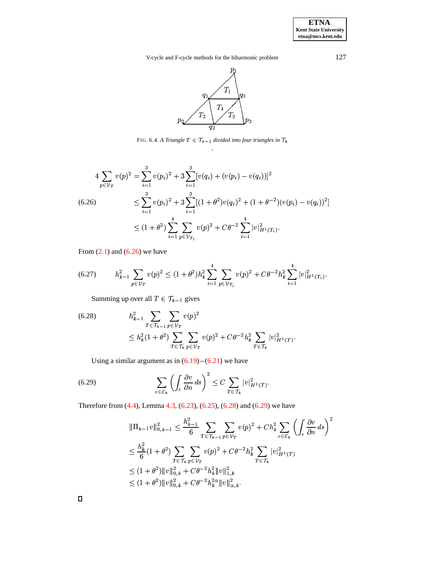**ETNA Kent State University etna@mcs.kent.edu**

V-cycle and F-cycle methods for the biharmonic problem 127



<span id="page-15-0"></span>FIG. 6.4. A Triangle  $T \in \mathcal{T}_{k-1}$  divided into four triangles in  $\mathcal{T}_k$ .

<span id="page-15-1"></span>
$$
4\sum_{p\in \mathcal{V}_T} v(p)^2 = \sum_{i=1}^3 v(p_i)^2 + 3\sum_{i=1}^3 [v(q_i) + (v(p_i) - v(q_i))]^2
$$
  
(6.26)  

$$
\leq \sum_{i=1}^3 v(p_i)^2 + 3\sum_{i=1}^3 [(1+\theta^2)v(q_i)^2 + (1+\theta^{-2})(v(p_i) - v(q_i))^2]
$$
  

$$
\leq (1+\theta^2) \sum_{i=1}^4 \sum_{p\in \mathcal{V}_{T_i}} v(p)^2 + C\theta^{-2} \sum_{i=1}^4 |v|_{H^1(T_i)}^2.
$$

From  $(2.1)$  and  $(6.26)$  we have

$$
(6.27) \t\t h_{k-1}^2 \sum_{p \in \mathcal{V}_T} v(p)^2 \le (1+\theta^2)h_k^2 \sum_{i=1}^4 \sum_{p \in \mathcal{V}_{T_i}} v(p)^2 + C\theta^{-2}h_k^2 \sum_{i=1}^4 |v|_{H^1(T_i)}^2.
$$

Summing up over all  $T \in \mathcal{T}_{k-1}$  gives

<span id="page-15-2"></span>(6.28) 
$$
h_{k-1}^{2} \sum_{T \in \mathcal{T}_{k-1}} \sum_{p \in \mathcal{V}_{T}} v(p)^{2} \le h_{k}^{2} (1+\theta^{2}) \sum_{T \in \mathcal{T}_{k}} \sum_{p \in \mathcal{V}_{T}} v(p)^{2} + C\theta^{-2} h_{k}^{2} \sum_{T \in \mathcal{T}_{k}} |v|_{H^{1}(T)}^{2}.
$$

Using a similar argument as in  $(6.19)-(6.21)$  $(6.19)-(6.21)$  $(6.19)-(6.21)$  we have

(6.29) 
$$
\sum_{e \in \mathcal{E}_k} \left( \int_e \frac{\partial v}{\partial n} ds \right)^2 \leq C \sum_{T \in \mathcal{T}_k} |v|_{H^1(T)}^2.
$$

Therefore from [\(4.4\)](#page-5-3), Lemma [4.3,](#page-6-5) [\(6.23\)](#page-14-1), [\(6.25\)](#page-14-2), [\(6.28\)](#page-15-2) and [\(6.29\)](#page-15-3) we have

<span id="page-15-3"></span>
$$
\|\Pi_{k-1}v\|_{0,k-1}^2 \leq \frac{h_{k-1}^2}{6} \sum_{T \in \mathcal{T}_{k-1}} \sum_{p \in \mathcal{V}_T} v(p)^2 + Ch_k^2 \sum_{e \in \mathcal{E}_k} \left( \int_e \frac{\partial v}{\partial n} ds \right)^2
$$
  

$$
\leq \frac{h_k^2}{6} (1 + \theta^2) \sum_{T \in \mathcal{T}_k} \sum_{p \in \mathcal{V}_T} v(p)^2 + C\theta^{-2} h_k^2 \sum_{T \in \mathcal{T}_k} |v|_{H^1(T)}^2
$$
  

$$
\leq (1 + \theta^2) \|v\|_{0,k}^2 + C\theta^{-2} h_k^2 \|v\|_{1,k}^2
$$
  

$$
\leq (1 + \theta^2) \|v\|_{0,k}^2 + C\theta^{-2} h_k^2 \|v\|_{\alpha,k}^2.
$$

 $\Box$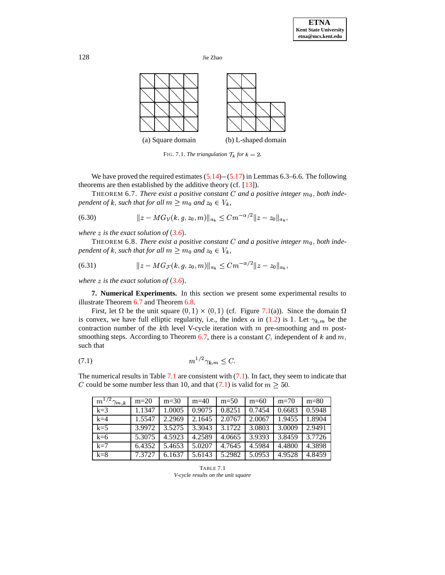

<span id="page-16-2"></span><span id="page-16-1"></span><span id="page-16-0"></span>FIG. 7.1. *The triangulation*  $\mathcal{T}_k$  for  $k = 2$ .

We have proved the required estimates  $(5.14)-(5.17)$  $(5.14)-(5.17)$  $(5.14)-(5.17)$  in Lemmas 6.3–6.6. The following theorems are then established by the additive theory (cf. [\[13\]](#page-19-8)). Frame the established by the additive theory (cf. [13]).<br>THEOREM 6.7. *There exist a positive constant C and a positive integer*  $m_0$ , *both inde*-

*pendent of k, such that for all*  $m \geq m_0$  *and*  $z_0 \in V_k$ *,* 

(6.30) 
$$
||z - MG_{\mathcal{V}}(k, g, z_0, m)||_{a_k} \leq C m^{-\alpha/2} ||z - z_0||_{a_k},
$$

*where*  $z$  *is the exact solution of*  $(3.6)$  $(3.6)$  $(3.6)$ *.* 

 $\tau e$  *z* is the exact solution of (3.6).<br>THEOREM 6.8. *There exist a positive constant C* and a positive integer  $m_0$ , both inde*pendent of k, such that for all*  $m \geq m_0$  *and*  $z_0 \in V_k$ *,* 

(6.31) 
$$
||z - MG_{\mathcal{F}}(k, g, z_0, m)||_{a_k} \leq C m^{-\alpha/2} ||z - z_0||_{a_k},
$$

where  $z$  is the exact solution of  $(3.6)$  $(3.6)$  $(3.6)$ .

**7. Numerical Experiments.** In this section we present some experimental results to illustrate Theorem [6.7](#page-16-1) and Theorem [6.8.](#page-16-2)

First, let  $\Omega$  be the unit square  $(0, 1) \times (0, 1)$  (cf. Figure [7.1\(](#page-16-0)a)). Since the domain is convex, we have full elliptic regularity, i.e., the index  $\alpha$  in [\(1.2\)](#page-0-1) is 1. Let  $\gamma_{k,m}$  be the contraction number of the *k*th level V-cycle iteration with  $m$  pre-smoothing and  $m$  post-smoothing steps. According to Theorem [6.7,](#page-16-1) there is a constant  $C$ , independent of  $k$  and  $m$ , , independent of  $k$  and  $m$ , such that

<span id="page-16-4"></span>
$$
(7.1) \t\t\t m^{1/2}\gamma_{k,m} \le C.
$$

The numerical results in Table [7.1](#page-16-3) are consistent with  $(7.1)$ . In fact, they seem to indicate that C could be some number less than 10, and that [\(7.1\)](#page-16-4) is valid for  $m \geq 50$ .

| $m^{1/2}\gamma_{m,k}$ | $m=20$ | $m=30$ | $m=40$ | $m=50$ | $m=60$ | $m=70$ | $m=80$ |
|-----------------------|--------|--------|--------|--------|--------|--------|--------|
| $k=3$                 | 1.1347 | 1.0005 | 0.9075 | 0.8251 | 0.7454 | 0.6683 | 0.5948 |
| $k=4$                 | 1.5547 | 2.2969 | 2.1645 | 2.0767 | 2.0067 | 1.9455 | 1.8904 |
| $k=5$                 | 3.9972 | 3.5275 | 3.3043 | 3.1722 | 3.0803 | 3.0009 | 2.9491 |
| $k=6$                 | 5.3075 | 4.5923 | 4.2589 | 4.0665 | 3.9393 | 3.8459 | 3.7726 |
| $k=7$                 | 6.4352 | 5.4653 | 5.0207 | 4.7645 | 4.5984 | 4.4800 | 4.3898 |
| $k=8$                 | 7.3727 | 6.1637 | 5.6143 | 5.2982 | 5.0953 | 4.9528 | 4.8459 |

<span id="page-16-3"></span>TABLE 7.1 *V-cycle results on the unit square*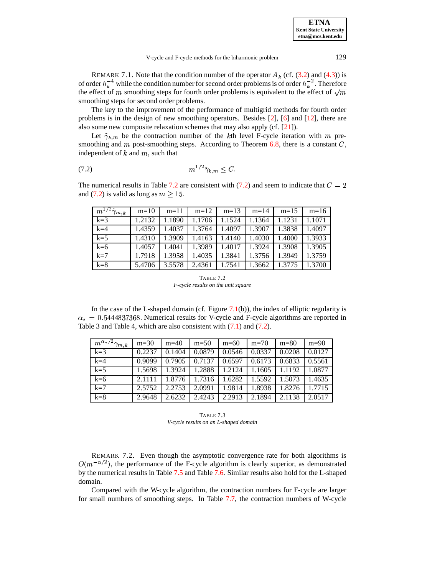REMARK 7.1. Note that the condition number of the operator  $A_k$  (cf. [\(3.2\)](#page-3-5) and [\(4.3\)](#page-5-5)) is of order  $h_k^{-4}$  while the condition number for second order problems is of order  $h_k^{-2}$ . Therefore the effect of m smoothing steps for fourth order problems is equivalent to the effect of  $\sqrt{m}$ smoothing steps for second order problems.

The key to the improvement of the performance of multigrid methods for fourth order problems is in the design of new smoothing operators. Besides [\[2\]](#page-19-11), [\[6\]](#page-19-12) and [\[12\]](#page-19-13), there are also some new composite relaxation schemes that may also apply (cf. [\[21\]](#page-20-14)).

<span id="page-17-1"></span>Let  $\tilde{\gamma}_{k,m}$  be the contraction number of the *k*th level F-cycle iteration with *m* pre-<br>othing and *m* post-smoothing steps. According to Theorem [6.8,](#page-16-2) there is a constant *C*, smoothing and  $m$  post-smoothing steps. According to Theorem 6.8, there is a constant  $C$ , independent of  $k$  and  $m$ , such that

$$
(7.2) \t\t\t m^{1/2} \tilde{\gamma}_{k,m} \leq C.
$$

The numerical results in Table [7.2](#page-17-0) are consistent with [\(7.2\)](#page-17-1) and seem to indicate that  $C = 2$ and [\(7.2\)](#page-17-1) is valid as long as  $m \ge 15$ .

| $m^{1/2}\tilde{\gamma}_{m,k}$ | $m=10$ | $m=11$ | $m=12$ | $m=13$ | $m=14$ | $m=15$ | $m=16$ |
|-------------------------------|--------|--------|--------|--------|--------|--------|--------|
| $k=3$                         | 1.2132 | 1.1890 | 1.1706 | 1.1524 | 1.1364 | 1.1231 | 1.1071 |
| $k=4$                         | 1.4359 | 1.4037 | 1.3764 | 1.4097 | 1.3907 | 1.3838 | 1.4097 |
| $k=5$                         | 1.4310 | 1.3909 | 1.4163 | 1.4140 | 1.4030 | 1.4000 | 1.3933 |
| $k=6$                         | 1.4057 | 1.4041 | 1.3989 | 1.4017 | 1.3924 | 1.3908 | 1.3905 |
| $k=7$                         | 1.7918 | 1.3958 | 1.4035 | 1.3841 | 1.3756 | 1.3949 | 1.3759 |
| $k=8$                         | 5.4706 | 3.5578 | 2.4361 | 1.7541 | 1.3662 | 1.3775 | 1.3700 |

TABLE 7.2 *F-cycle results on the unit square*

<span id="page-17-0"></span>In the case of the L-shaped domain (cf. Figure [7.1\(](#page-16-0)b)), the index of elliptic regularity is  $= 0.5444837368$ . Numerical results for V-cycle and F-cycle algorithms are reported in  $\alpha_* = 0.5444837368$ . Numerical results for V-cycle and F-cycle algorithms are reported in Table 3 and Table 4, which are also consistent with [\(7.1\)](#page-16-4) and [\(7.2\)](#page-17-1).

| $m^{\alpha_*/2}\gamma_{m,k}$ | $m=30$ | $m=40$ | $m=50$ | $m=60$ | $m=70$ | $m=80$ | $m=90$ |
|------------------------------|--------|--------|--------|--------|--------|--------|--------|
| $k=3$                        | 0.2237 | 0.1404 | 0.0879 | 0.0546 | 0.0337 | 0.0208 | 0.0127 |
| $k=4$                        | 0.9099 | 0.7905 | 0.7137 | 0.6597 | 0.6173 | 0.6833 | 0.5561 |
| $k=5$                        | 1.5698 | 1.3924 | 1.2888 | 1.2124 | 1.1605 | 1.1192 | 1.0877 |
| $k=6$                        | 2.1111 | 1.8776 | 1.7316 | 1.6282 | 1.5592 | 1.5073 | 1.4635 |
| $k=7$                        | 2.5752 | 2.2753 | 2.0991 | 1.9814 | 1.8938 | 1.8276 | 1.7715 |
| $k=8$                        | 2.9648 | 2.6232 | 2.4243 | 2.2913 | 2.1894 | 2.1138 | 2.0517 |

TABLE 7.3 *V-cycle results on an L-shaped domain*

REMARK 7.2. Even though the asymptotic convergence rate for both algorithms is  $O(m^{-\alpha/2})$ , the performance of the F-cycle algorithm is clearly superior, as demonstrated by the numerical results in Table [7.5](#page-18-0) and Table [7.6.](#page-18-1) Similar results also hold for the L-shaped domain.

Compared with the W-cycle algorithm, the contraction numbers for F-cycle are larger for small numbers of smoothing steps. In Table [7.7,](#page-19-17) the contraction numbers of W-cycle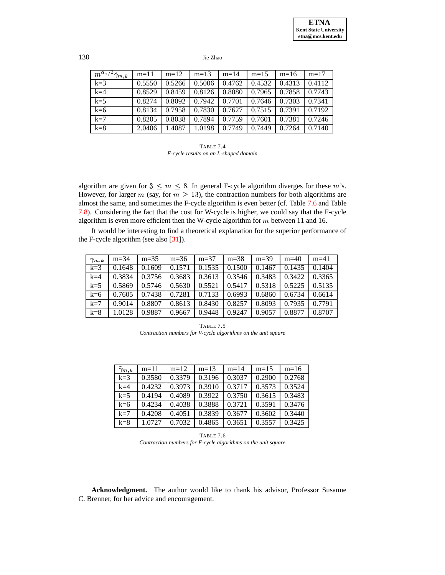| $m^{\alpha_*/2}\tilde\gamma_n$<br>$\gamma_{\bm{m} \, , \bm{k}}$ | $m=11$ | $m=12$ | $m=13$ | $m=14$ | $m=15$ | $m=16$ | $m=17$ |
|-----------------------------------------------------------------|--------|--------|--------|--------|--------|--------|--------|
| $k=3$                                                           | 0.5550 | 0.5266 | 0.5006 | 0.4762 | 0.4532 | 0.4313 | 0.4112 |
| $k=4$                                                           | 0.8529 | 0.8459 | 0.8126 | 0.8080 | 0.7965 | 0.7858 | 0.7743 |
| $k=5$                                                           | 0.8274 | 0.8092 | 0.7942 | 0.7701 | 0.7646 | 0.7303 | 0.7341 |
| $k=6$                                                           | 0.8134 | 0.7958 | 0.7830 | 0.7627 | 0.7515 | 0.7391 | 0.7192 |
| $k=7$                                                           | 0.8205 | 0.8038 | 0.7894 | 0.7759 | 0.7601 | 0.7381 | 0.7246 |
| $k=8$                                                           | 2.0406 | 1.4087 | 1.0198 | 0.7749 | 0.7449 | 0.7264 | 0.7140 |

| TABLE 7.4                             |  |  |  |  |  |  |
|---------------------------------------|--|--|--|--|--|--|
| F-cycle results on an L-shaped domain |  |  |  |  |  |  |

algorithm are given for  $3 \leq m \leq 8$ . In general 8. In general F-cycle algorithm diverges for these  $m$ 's. However, for larger m (say, for  $m \geq 13$ ), the contraction numbers for both algorithms are almost the same, and sometimes the F-cycle algorithm is even better (cf. Table [7.6](#page-18-1) and Table [7.8\)](#page-19-18). Considering the fact that the cost for W-cycle is higher, we could say that the F-cycle algorithm is even more efficient then the W-cycle algorithm for  $m$  between 11 and 16.

It would be interesting to find a theoretical explanation for the superior performance of the F-cycle algorithm (see also [\[31\]](#page-20-15)).

| $\gamma_{m,\boldsymbol{k}}$ | $m=34$ | $m=35$ | $m=36$ | $m = 37$ | $m=38$ | $m=39$ | $m=40$ | $m = 41$ |
|-----------------------------|--------|--------|--------|----------|--------|--------|--------|----------|
| $k=3$                       | 0.1648 | 0.1609 | 0.1571 | 0.1535   | 0.1500 | 0.1467 | 0.1435 | 0.1404   |
| $k=4$                       | 0.3834 | 0.3756 | 0.3683 | 0.3613   | 0.3546 | 0.3483 | 0.3422 | 0.3365   |
| $k=5$                       | 0.5869 | 0.5746 | 0.5630 | 0.5521   | 0.5417 | 0.5318 | 0.5225 | 0.5135   |
| $k=6$                       | 0.7605 | 0.7438 | 0.7281 | 0.7133   | 0.6993 | 0.6860 | 0.6734 | 0.6614   |
| $k=7$                       | 0.9014 | 0.8807 | 0.8613 | 0.8430   | 0.8257 | 0.8093 | 0.7935 | 0.7791   |
| $k=8$                       | 1.0128 | 0.9887 | 0.9667 | 0.9448   | 0.9247 | 0.9057 | 0.8877 | 0.8707   |

TABLE 7.5 *Contraction numbers for V-cycle algorithms on the unit square*

<span id="page-18-0"></span>

| $\tilde{\gamma}_{m,\boldsymbol{k}}$ | $m=11$ | $m=12$ | $m=13$ | $m=14$ | $m=15$ | $m=16$ |
|-------------------------------------|--------|--------|--------|--------|--------|--------|
| $k=3$                               | 0.3580 | 0.3379 | 0.3196 | 0.3037 | 0.2900 | 0.2768 |
| $k=4$                               | 0.4232 | 0.3973 | 0.3910 | 0.3717 | 0.3573 | 0.3524 |
| $k=5$                               | 0.4194 | 0.4089 | 0.3922 | 0.3750 | 0.3615 | 0.3483 |
| $k=6$                               | 0.4234 | 0.4038 | 0.3888 | 0.3721 | 0.3591 | 0.3476 |
| $k=7$                               | 0.4208 | 0.4051 | 0.3839 | 0.3677 | 0.3602 | 0.3440 |
| $k=8$                               | 1.0727 | 0.7032 | 0.4865 | 0.3651 | 0.3557 | 0.3425 |

TABLE 7.6 *Contraction numbers for F-cycle algorithms on the unit square*

<span id="page-18-1"></span>**Acknowledgment.** The author would like to thank his advisor, Professor Susanne C. Brenner, for her advice and encouragement.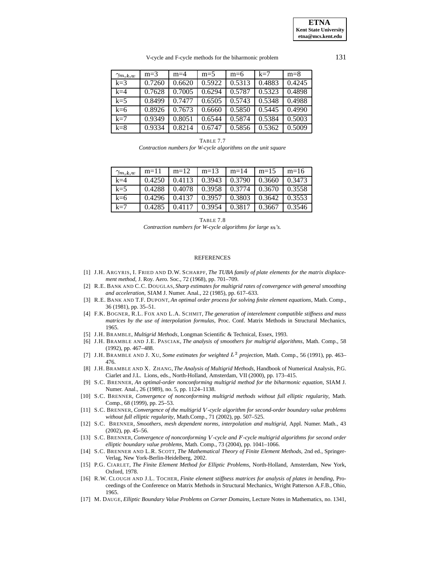V-cycle and F-cycle methods for the biharmonic problem 131

| $\gamma_{m,k,w}$ | $m=3$  | $m=4$  | $m=5$  | $m=6$  | $k=7$  | $m=8$  |
|------------------|--------|--------|--------|--------|--------|--------|
| $k=3$            | 0.7260 | 0.6620 | 0.5922 | 0.5313 | 0.4883 | 0.4245 |
| $k=4$            | 0.7628 | 0.7005 | 0.6294 | 0.5787 | 0.5323 | 0.4898 |
| $k=5$            | 0.8499 | 0.7477 | 0.6505 | 0.5743 | 0.5348 | 0.4988 |
| $k=6$            | 0.8926 | 0.7673 | 0.6660 | 0.5850 | 0.5445 | 0.4990 |
| $k=7$            | 0.9349 | 0.8051 | 0.6544 | 0.5874 | 0.5384 | 0.5003 |
| $k=8$            | 0.9334 | 0.8214 | 0.6747 | 0.5856 | 0.5362 | 0.5009 |

TABLE 7.7

*Contraction numbers for W-cycle algorithms on the unit square*

<span id="page-19-17"></span>

| $\gamma_{m,k,w}$ | $m=11$ | $m=12$ | $m=13$          | $m=14$ | $m=15$ | $m=16$ |
|------------------|--------|--------|-----------------|--------|--------|--------|
| $k=4$            | 0.4250 | 0.4113 | 0.3943          | 0.3790 | 0.3660 | 0.3473 |
| $k=5$            | 0.4288 | 0.4078 | $0.3958$ 0.3774 |        | 0.3670 | 0.3558 |
| $k=6$            | 0.4296 | 0.4137 | 0.3957          | 0.3803 | 0.3642 | 0.3553 |
| $k=7$            | 0.4285 | 0.411  | 0.3954          | 0.3817 | 0.3667 | 0.3546 |

TABLE 7.8

*Contraction numbers for W-cycle algorithms for large 's.*

#### **REFERENCES**

- <span id="page-19-18"></span><span id="page-19-2"></span>[1] J.H. ARGYRIS, I. FRIED AND D.W. SCHARPF, *The TUBA family of plate elements for the matrix displacement method*, J. Roy. Aero. Soc., 72 (1968), pp. 701–709.
- <span id="page-19-11"></span>[2] R.E. BANK AND C.C. DOUGLAS, *Sharp estimates for multigrid rates of convergence with general smoothing and acceleration*, SIAM J. Numer. Anal., 22 (1985), pp. 617–633.
- <span id="page-19-14"></span><span id="page-19-1"></span>[3] R.E. BANK AND T.F. DUPONT, *An optimal order process for solving finite element equations*, Math. Comp., 36 (1981), pp. 35–51.
- [4] F.K. BOGNER, R.L. FOX AND L.A. SCHMIT, *The generation of interelement compatible stiffness and mass matrices by the use of interpolation formulas*, Proc. Conf. Matrix Methods in Structural Mechanics, 1965.
- <span id="page-19-12"></span><span id="page-19-9"></span>[5] J.H. BRAMBLE, *Multigrid Methods*, Longman Scientific & Technical, Essex, 1993.
- <span id="page-19-15"></span>[6] J.H. BRAMBLE AND J.E. PASCIAK, *The analysis of smoothers for multigrid algorithms*, Math. Comp., 58 (1992), pp. 467–488.
- [7] J.H. BRAMBLE AND J. XU, *Some estimates for weighted*  $L^2$  *projection*, Math. Comp., 56 (1991), pp. 463– 476.
- <span id="page-19-4"></span>[8] J.H. BRAMBLE AND X. ZHANG, *The Analysis of Multigrid Methods*, Handbook of Numerical Analysis, P.G. Ciarlet and J.L. Lions, eds., North-Holland, Amsterdam, VII (2000), pp. 173–415.
- <span id="page-19-5"></span>[9] S.C. BRENNER, *An optimal-order nonconforming multigrid method for the biharmonic equation*, SIAM J. Numer. Anal., 26 (1989), no. 5, pp. 1124–1138.
- <span id="page-19-6"></span>[10] S.C. BRENNER, *Convergence of nonconforming multigrid methods without full elliptic regularity*, Math. Comp., 68 (1999), pp. 25–53.
- <span id="page-19-7"></span>[11] S.C. BRENNER, *Convergence of the multigrid -cycle algorithm for second-order boundary value problems without full elliptic regularity*, Math.Comp., 71 (2002), pp. 507–525.
- <span id="page-19-13"></span>[12] S.C. BRENNER, *Smoothers, mesh dependent norms, interpolation and multigrid*, Appl. Numer. Math., 43 (2002), pp. 45–56.
- <span id="page-19-8"></span>[13] S.C. BRENNER, *Convergence of nonconforming -cycle and -cycle multigrid algorithms for second order elliptic boundary value problems*, Math. Comp., 73 (2004), pp. 1041–1066.
- <span id="page-19-10"></span>[14] S.C. BRENNER AND L.R. SCOTT, *The Mathematical Theory of Finite Element Methods*, 2nd ed., Springer-Verlag, New York-Berlin-Heidelberg, 2002.
- <span id="page-19-16"></span>[15] P.G. CIARLET, *The Finite Element Method for Elliptic Problems*, North-Holland, Amsterdam, New York, Oxford, 1978.
- <span id="page-19-3"></span>[16] R.W. CLOUGH AND J.L. TOCHER, *Finite element stiffness matrices for analysis of plates in bending*, Proceedings of the Conference on Matrix Methods in Structural Mechanics, Wright Patterson A.F.B., Ohio, 1965.
- <span id="page-19-0"></span>[17] M. DAUGE, *Elliptic Boundary Value Problems on Corner Domains*, Lecture Notes in Mathematics, no. 1341,